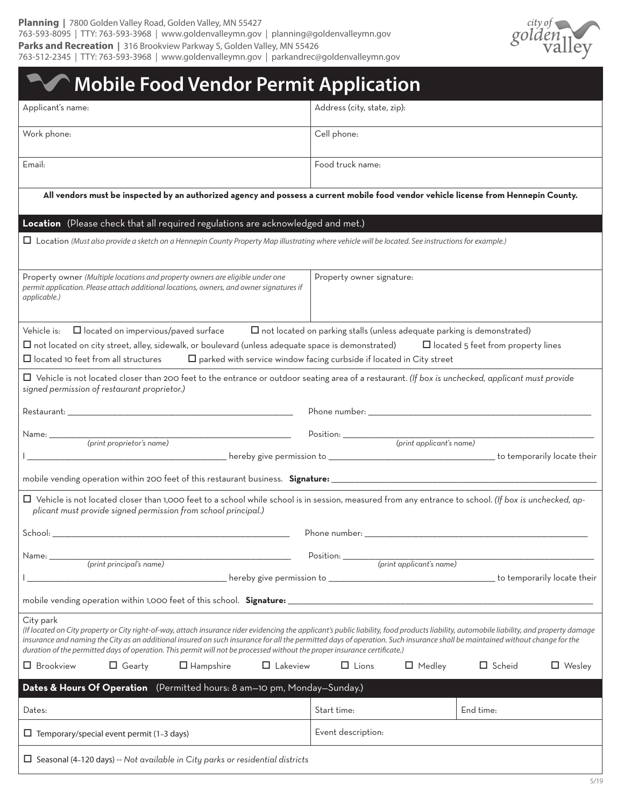

| 763-512-2345   TTY: 763-593-3968   www.goldenvalleymn.gov   parkandrec@goldenvalleymn.gov                                                                                                                                                                                                                                                                                                                                                                                                                          |                               |                                |  |
|--------------------------------------------------------------------------------------------------------------------------------------------------------------------------------------------------------------------------------------------------------------------------------------------------------------------------------------------------------------------------------------------------------------------------------------------------------------------------------------------------------------------|-------------------------------|--------------------------------|--|
| <b>Mobile Food Vendor Permit Application</b>                                                                                                                                                                                                                                                                                                                                                                                                                                                                       |                               |                                |  |
| Applicant's name:                                                                                                                                                                                                                                                                                                                                                                                                                                                                                                  | Address (city, state, zip):   |                                |  |
| Work phone:                                                                                                                                                                                                                                                                                                                                                                                                                                                                                                        | Cell phone:                   |                                |  |
| Email:                                                                                                                                                                                                                                                                                                                                                                                                                                                                                                             | Food truck name:              |                                |  |
| All vendors must be inspected by an authorized agency and possess a current mobile food vendor vehicle license from Hennepin County.                                                                                                                                                                                                                                                                                                                                                                               |                               |                                |  |
| Location (Please check that all required regulations are acknowledged and met.)                                                                                                                                                                                                                                                                                                                                                                                                                                    |                               |                                |  |
| $\Box$ Location (Must also provide a sketch on a Hennepin County Property Map illustrating where vehicle will be located. See instructions for example.)                                                                                                                                                                                                                                                                                                                                                           |                               |                                |  |
| Property owner (Multiple locations and property owners are eligible under one<br>permit application. Please attach additional locations, owners, and owner signatures if<br>applicable.)                                                                                                                                                                                                                                                                                                                           | Property owner signature:     |                                |  |
| $\Box$ not located on parking stalls (unless adequate parking is demonstrated)<br>Vehicle is:<br>$\Box$ located on impervious/paved surface<br>$\Box$ not located on city street, alley, sidewalk, or boulevard (unless adequate space is demonstrated) $\Box$ located 5 feet from property lines<br>$\Box$ located 10 feet from all structures<br>$\square$ parked with service window facing curbside if located in City street                                                                                  |                               |                                |  |
| □ Vehicle is not located closer than 200 feet to the entrance or outdoor seating area of a restaurant. (If box is unchecked, applicant must provide<br>signed permission of restaurant proprietor.)                                                                                                                                                                                                                                                                                                                |                               |                                |  |
|                                                                                                                                                                                                                                                                                                                                                                                                                                                                                                                    |                               |                                |  |
|                                                                                                                                                                                                                                                                                                                                                                                                                                                                                                                    |                               |                                |  |
|                                                                                                                                                                                                                                                                                                                                                                                                                                                                                                                    |                               |                                |  |
|                                                                                                                                                                                                                                                                                                                                                                                                                                                                                                                    |                               |                                |  |
| □ Vehicle is not located closer than 1,000 feet to a school while school is in session, measured from any entrance to school. (If box is unchecked, ap-<br>plicant must provide signed permission from school principal.)                                                                                                                                                                                                                                                                                          |                               |                                |  |
|                                                                                                                                                                                                                                                                                                                                                                                                                                                                                                                    |                               |                                |  |
|                                                                                                                                                                                                                                                                                                                                                                                                                                                                                                                    |                               |                                |  |
|                                                                                                                                                                                                                                                                                                                                                                                                                                                                                                                    |                               |                                |  |
|                                                                                                                                                                                                                                                                                                                                                                                                                                                                                                                    |                               |                                |  |
| City park<br>(If located on City property or City right-of-way, attach insurance rider evidencing the applicant's public liability, food products liability, automobile liability, and property damage<br>insurance and naming the City as an additional insured on such insurance for all the permitted days of operation. Such insurance shall be maintained without change for the<br>duration of the permitted days of operation. This permit will not be processed without the proper insurance certificate.) |                               |                                |  |
| $\Box$ Brookview<br>$\Box$ Lakeview<br>$\Box$ Gearty<br>$\Box$ Hampshire                                                                                                                                                                                                                                                                                                                                                                                                                                           | $\Box$ Lions<br>$\Box$ Medley | $\Box$ Scheid<br>$\Box$ Wesley |  |
| Dates & Hours Of Operation (Permitted hours: 8 am-10 pm, Monday-Sunday.)                                                                                                                                                                                                                                                                                                                                                                                                                                           |                               |                                |  |
| Dates:                                                                                                                                                                                                                                                                                                                                                                                                                                                                                                             | Start time:                   | End time:                      |  |
| $\Box$ Temporary/special event permit (1-3 days)                                                                                                                                                                                                                                                                                                                                                                                                                                                                   | Event description:            |                                |  |

Seasonal (4–120 days) -- *Not available in City parks or residential districts*